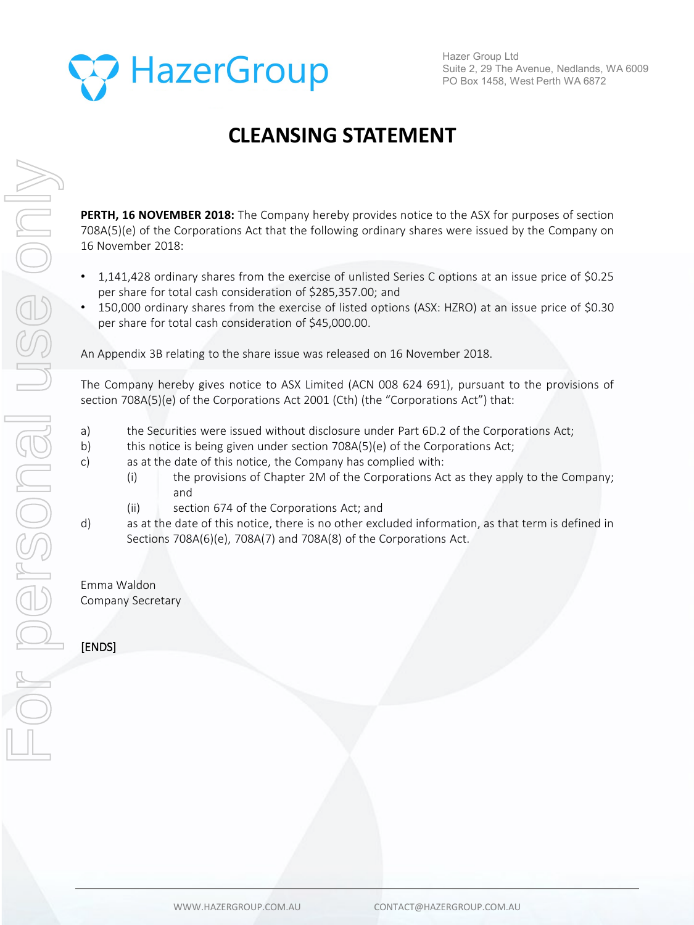

Hazer Group Ltd Suite 2, 29 The Avenue, Nedlands, WA 6009 PO Box 1458, West Perth WA 6872

## **CLEANSING STATEMENT**

**PERTH, 16 NOVEMBER 2018:** The Company hereby provides notice to the ASX for purposes of section 708A(5)(e) of the Corporations Act that the following ordinary shares were issued by the Company on 16 November 2018:

- 1,141,428 ordinary shares from the exercise of unlisted Series C options at an issue price of \$0.25 per share for total cash consideration of \$285,357.00; and
- 150,000 ordinary shares from the exercise of listed options (ASX: HZRO) at an issue price of \$0.30 per share for total cash consideration of \$45,000.00.

An Appendix 3B relating to the share issue was released on 16 November 2018.

The Company hereby gives notice to ASX Limited (ACN 008 624 691), pursuant to the provisions of section 708A(5)(e) of the Corporations Act 2001 (Cth) (the "Corporations Act") that:

- a) the Securities were issued without disclosure under Part 6D.2 of the Corporations Act;
- b) this notice is being given under section 708A(5)(e) of the Corporations Act;
- c) as at the date of this notice, the Company has complied with:
	- (i) the provisions of Chapter 2M of the Corporations Act as they apply to the Company; and
	- (ii) section 674 of the Corporations Act; and
- d) as at the date of this notice, there is no other excluded information, as that term is defined in Sections 708A(6)(e), 708A(7) and 708A(8) of the Corporations Act.

Emma Waldon Company Secretary

[ENDS]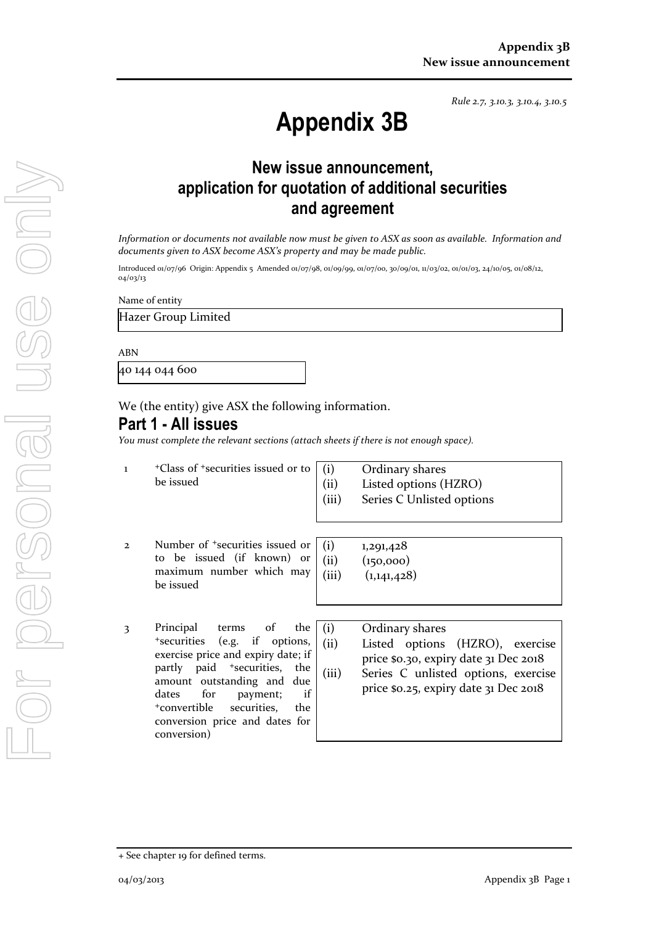*Rule 2.7, 3.10.3, 3.10.4, 3.10.5*

# **Appendix 3B**

## **New issue announcement, application for quotation of additional securities and agreement**

*Information or documents not available now must be given to ASX as soon as available. Information and documents given to ASX become ASX's property and may be made public.*

Introduced 01/07/96 Origin: Appendix 5 Amended 01/07/98, 01/09/99, 01/07/00, 30/09/01, 11/03/02, 01/01/03, 24/10/05, 01/08/12, 04/03/13

Name of entity

Hazer Group Limited

ABN

40 144 044 600

We (the entity) give ASX the following information.

### **Part 1 - All issues**

*You must complete the relevant sections (attach sheets if there is not enough space).*

- 1 +Class of +securities issued or to be issued
- (i) Ordinary shares (ii) Listed options (HZRO)
- (iii) Series C Unlisted options
- 2 Number of +securities issued or to be issued (if known) or maximum number which may be issued
- 3 Principal terms of the +securities (e.g. if options, exercise price and expiry date; if partly paid <sup>+</sup>securities, the amount outstanding and due dates for payment; if +convertible securities, the conversion price and dates for conversion)

| (i)   | 1,291,428   |
|-------|-------------|
| (ii)  | (150,000)   |
| (iii) | (1,141,428) |

(i) Ordinary shares (ii) Listed options (HZRO), exercise price \$0.30, expiry date 31 Dec 2018 (iii) Series C unlisted options, exercise price \$0.25, expiry date 31 Dec 2018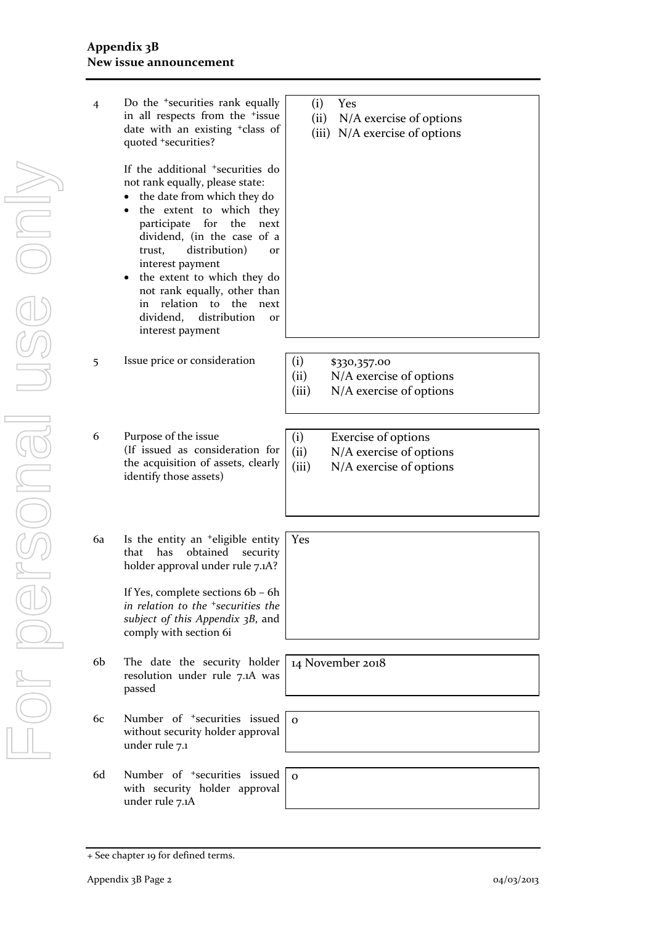| 4              | Do the <sup>+</sup> securities rank equally<br>in all respects from the <sup>+</sup> issue<br>date with an existing <sup>+</sup> class of<br>quoted +securities?                                                                                                                                                                                                                                                                                | Yes<br>(i)<br>(ii)<br>N/A exercise of options<br>(iii) N/A exercise of options                    |
|----------------|-------------------------------------------------------------------------------------------------------------------------------------------------------------------------------------------------------------------------------------------------------------------------------------------------------------------------------------------------------------------------------------------------------------------------------------------------|---------------------------------------------------------------------------------------------------|
|                | If the additional <sup>+</sup> securities do<br>not rank equally, please state:<br>the date from which they do<br>٠<br>the extent to which they<br>participate<br>for<br>the<br>next<br>dividend, (in the case of a<br>distribution)<br>trust,<br><b>or</b><br>interest payment<br>• the extent to which they do<br>not rank equally, other than<br>relation to the<br>in<br>next<br>distribution<br>dividend,<br><b>or</b><br>interest payment |                                                                                                   |
| 5              | Issue price or consideration                                                                                                                                                                                                                                                                                                                                                                                                                    | (i)<br>\$330,357.00<br>(ii)<br>N/A exercise of options<br>(iii)<br>N/A exercise of options        |
|                |                                                                                                                                                                                                                                                                                                                                                                                                                                                 |                                                                                                   |
| 6              | Purpose of the issue<br>(If issued as consideration for<br>the acquisition of assets, clearly<br>identify those assets)                                                                                                                                                                                                                                                                                                                         | (i)<br>Exercise of options<br>N/A exercise of options<br>(ii)<br>N/A exercise of options<br>(iii) |
|                |                                                                                                                                                                                                                                                                                                                                                                                                                                                 |                                                                                                   |
| 6a             | Is the entity an <sup>+</sup> eligible entity<br>obtained<br>has<br>that<br>security<br>holder approval under rule 7.1A?<br>If Yes, complete sections 6b - 6h<br>in relation to the <sup>+</sup> securities the<br>subject of this Appendix 3B, and<br>comply with section 6i                                                                                                                                                                   | Yes                                                                                               |
|                |                                                                                                                                                                                                                                                                                                                                                                                                                                                 |                                                                                                   |
| 6 <sub>b</sub> | The date the security holder<br>resolution under rule 7.1A was<br>passed                                                                                                                                                                                                                                                                                                                                                                        | 14 November 2018                                                                                  |
| 6с             | Number of <sup>+</sup> securities issued<br>without security holder approval<br>under rule 7.1                                                                                                                                                                                                                                                                                                                                                  | $\Omega$                                                                                          |
| 6d             | Number of <sup>+</sup> securities issued                                                                                                                                                                                                                                                                                                                                                                                                        | $\Omega$                                                                                          |
|                | with security holder approval<br>under rule 7.1A                                                                                                                                                                                                                                                                                                                                                                                                |                                                                                                   |

<sup>+</sup> See chapter 19 for defined terms.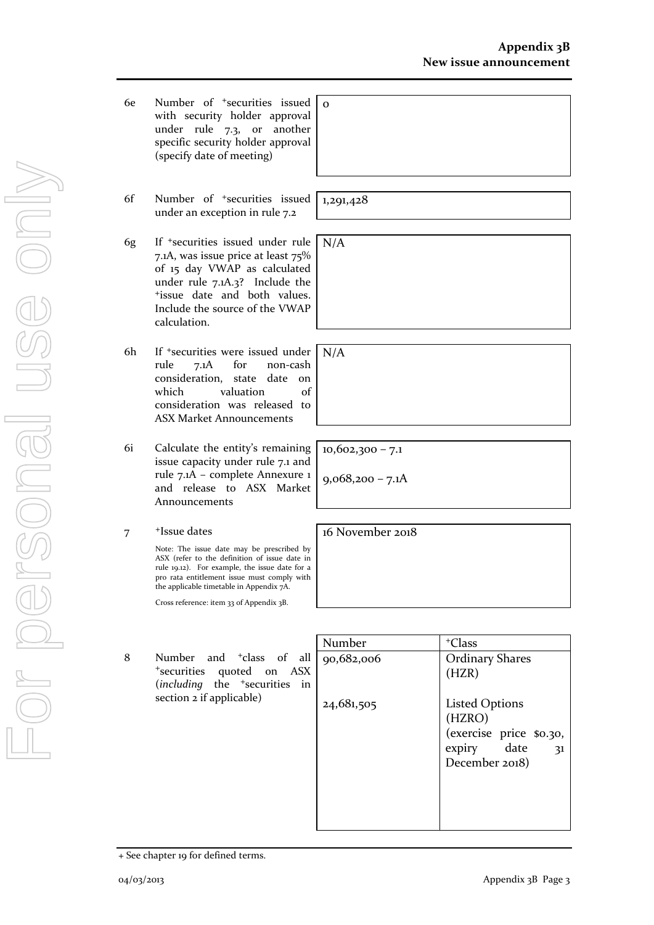- 6e Number of +securities issued with security holder approval under rule 7.3, or another specific security holder approval (specify date of meeting)
- 6f Number of +securities issued under an exception in rule 7.2
- 6g If +securities issued under rule 7.1A, was issue price at least 75% of 15 day VWAP as calculated under rule 7.1A.3? Include the +issue date and both values. Include the source of the VWAP calculation.
- 6h If +securities were issued under rule 7.1A for non-cash consideration, state date on which valuation of consideration was released to ASX Market Announcements
- 6i Calculate the entity's remaining issue capacity under rule 7.1 and rule 7.1A – complete Annexure 1 and release to ASX Market Announcements
- 7 +Issue dates

Note: The issue date may be prescribed by ASX (refer to the definition of issue date in rule 19.12). For example, the issue date for a pro rata entitlement issue must comply with the applicable timetable in Appendix 7A.

Cross reference: item 33 of Appendix 3B.

8 Number and <sup>+</sup>class of all <sup>+</sup>securities quoted on ASX (*including* the <sup>+</sup>securities in section 2 if applicable)

| Number     | <sup>+</sup> Class                                                                                   |
|------------|------------------------------------------------------------------------------------------------------|
| 90,682,006 | <b>Ordinary Shares</b><br>(HZR)                                                                      |
| 24,681,505 | <b>Listed Options</b><br>(HZRO)<br>(exercise price \$0.30,<br>date<br>expiry<br>31<br>December 2018) |

| the control of the control of the control of the control of the control of the control of |  | --- |
|-------------------------------------------------------------------------------------------|--|-----|
|                                                                                           |  |     |

1,291,428

N/A

N/A

 $\overline{O}$ 

10,602,300 – 7.1

 $9,068,200 - 7.1A$ 

16 November 2018

<sup>+</sup> See chapter 19 for defined terms.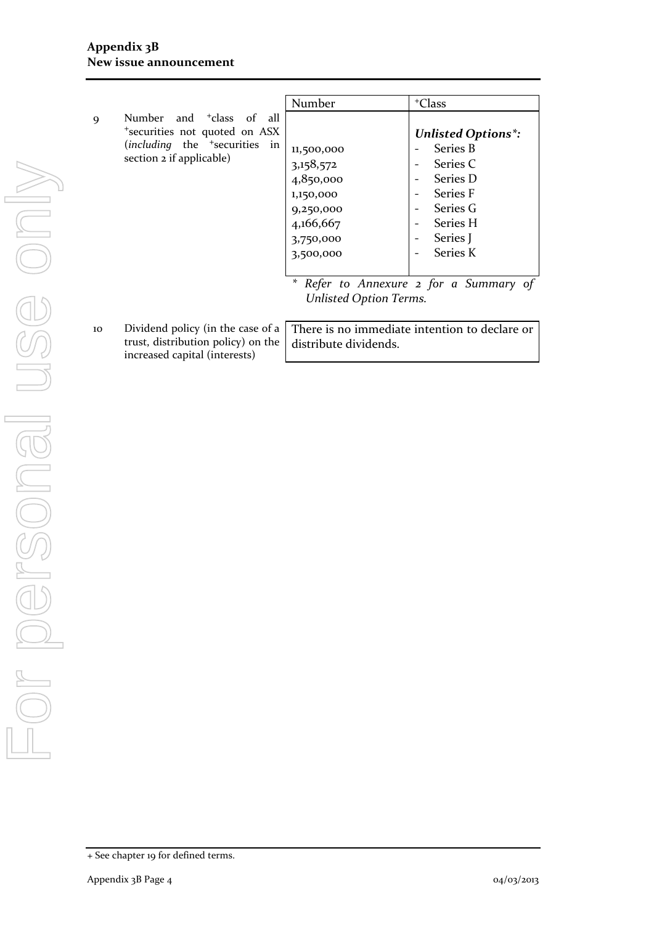|                                                                                                                                      | Number                                                                                                          | <sup>+</sup> Class                                                                                                                                           |
|--------------------------------------------------------------------------------------------------------------------------------------|-----------------------------------------------------------------------------------------------------------------|--------------------------------------------------------------------------------------------------------------------------------------------------------------|
| Number and <sup>+</sup> class<br>9<br>*securities not quoted on ASX<br>$(including$ the $+securities$ in<br>section 2 if applicable) | of all<br>11,500,000<br>3,158,572<br>4,850,000<br>1,150,000<br>9,250,000<br>4,166,667<br>3,750,000<br>3,500,000 | <b>Unlisted Options*:</b><br><b>Series B</b><br>Series C<br>Series D<br>Series F<br>Series G<br>$\overline{\phantom{0}}$<br>Series H<br>Series J<br>Series K |
|                                                                                                                                      | <b>Unlisted Option Terms.</b>                                                                                   | * Refer to Annexure 2 for a Summary of                                                                                                                       |

10 Dividend policy (in the case of a trust, distribution policy) on the increased capital (interests)

| There is no immediate intention to declare or |
|-----------------------------------------------|
| distribute dividends.                         |
|                                               |

<sup>+</sup> See chapter 19 for defined terms.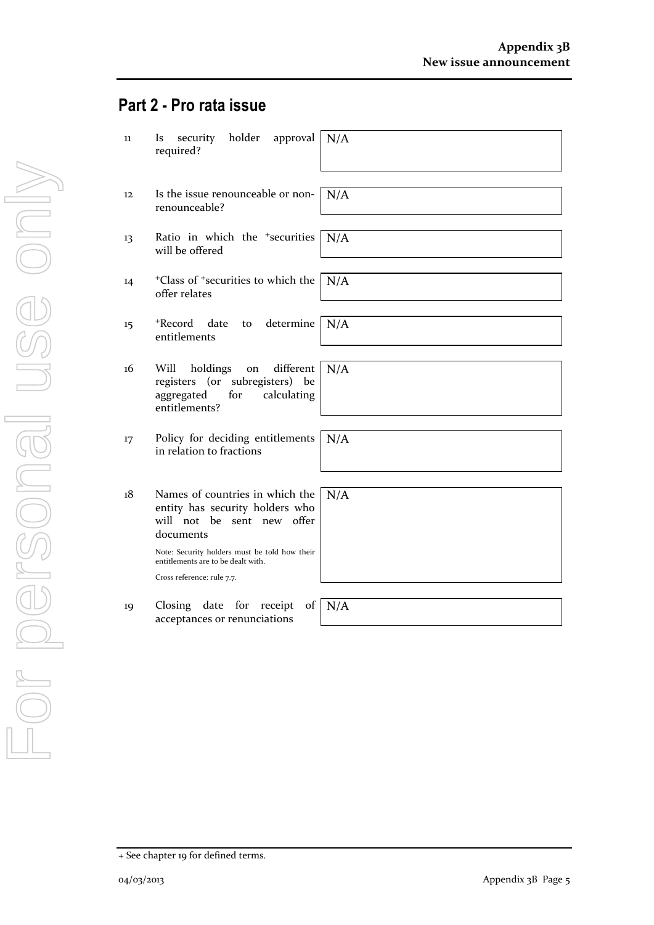## **Part 2 - Pro rata issue**

| $11\,$            | holder<br>security<br>approval<br>N/A<br>Is<br>required?                                                                                                                                                                                  |
|-------------------|-------------------------------------------------------------------------------------------------------------------------------------------------------------------------------------------------------------------------------------------|
| $12 \overline{ }$ | Is the issue renounceable or non-<br>N/A<br>renounceable?                                                                                                                                                                                 |
| 13                | Ratio in which the <sup>+</sup> securities<br>N/A<br>will be offered                                                                                                                                                                      |
| 14                | <sup>+</sup> Class of <sup>+</sup> securities to which the<br>N/A<br>offer relates                                                                                                                                                        |
| 15                | +Record<br>determine<br>date<br>N/A<br>to<br>entitlements                                                                                                                                                                                 |
| 16                | Will<br>different<br>N/A<br>holdings<br>on<br>registers (or subregisters) be<br>aggregated<br>for<br>calculating<br>entitlements?                                                                                                         |
| 17                | Policy for deciding entitlements<br>N/A<br>in relation to fractions                                                                                                                                                                       |
| 18                | Names of countries in which the<br>N/A<br>entity has security holders who<br>will not be sent new offer<br>documents<br>Note: Security holders must be told how their<br>entitlements are to be dealt with.<br>Cross reference: rule 7.7. |
| 19                | date for<br>N/A<br>Closing<br>receipt<br>of<br>acceptances or renunciations                                                                                                                                                               |

<sup>+</sup> See chapter 19 for defined terms.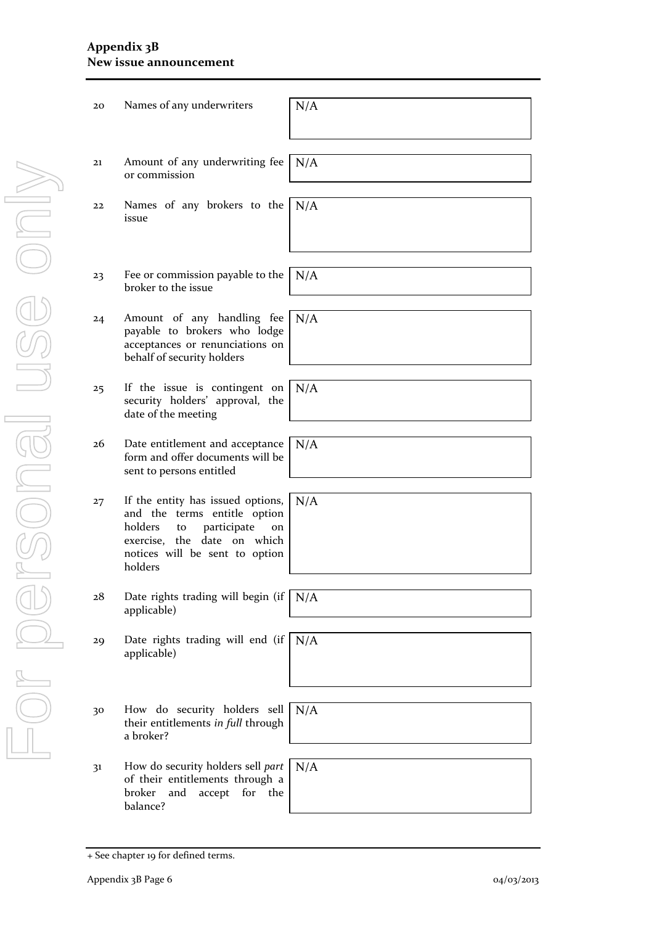#### **Appendix 3B New issue announcement**

| 20             | Names of any underwriters                                                                                                                                                           | N/A |
|----------------|-------------------------------------------------------------------------------------------------------------------------------------------------------------------------------------|-----|
| 21             | Amount of any underwriting fee<br>or commission                                                                                                                                     | N/A |
| 22             | Names of any brokers to the<br>issue                                                                                                                                                | N/A |
|                |                                                                                                                                                                                     |     |
| 23             | Fee or commission payable to the<br>broker to the issue                                                                                                                             | N/A |
| 24             | Amount of any handling fee<br>payable to brokers who lodge<br>acceptances or renunciations on<br>behalf of security holders                                                         | N/A |
| 25             | If the issue is contingent on<br>security holders' approval, the<br>date of the meeting                                                                                             | N/A |
| 26             | Date entitlement and acceptance<br>form and offer documents will be<br>sent to persons entitled                                                                                     | N/A |
| 27             | If the entity has issued options,<br>and the terms entitle option<br>holders<br>participate<br>to<br>on<br>exercise, the date on which<br>notices will be sent to option<br>holders | N/A |
| 28             | Date rights trading will begin (if<br>applicable)                                                                                                                                   | N/A |
| 29             | Date rights trading will end (if<br>applicable)                                                                                                                                     | N/A |
|                |                                                                                                                                                                                     |     |
| 30             | How do security holders sell<br>their entitlements in full through<br>a broker?                                                                                                     | N/A |
| 3 <sup>1</sup> | How do security holders sell part<br>of their entitlements through a<br>and<br>accept<br>for the<br>broker<br>balance?                                                              | N/A |

<sup>+</sup> See chapter 19 for defined terms.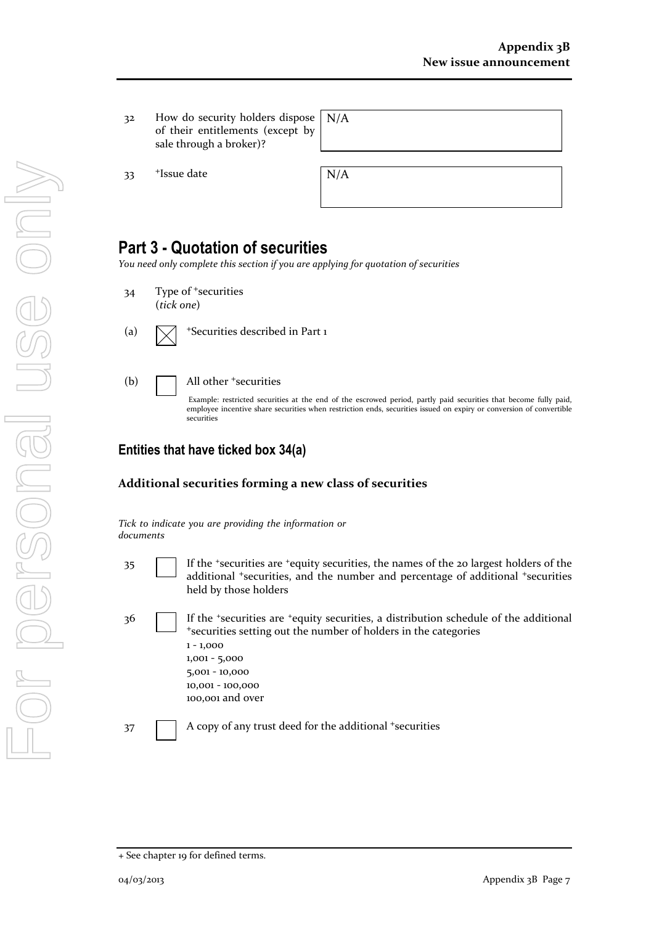32 How do security holders dispos of their entitlements (except by sale through a broker)?

 $33$  +Issue date  $N/A$ 

| se   N/A<br>py |  |
|----------------|--|
|                |  |

## **Part 3 - Quotation of securities**

*You need only complete this section if you are applying for quotation of securities*

- 34 Type of <sup>+</sup>securities (*tick one*)
- (a)  $\sqrt{\phantom{a}}$  +Securities described in Part 1
- (b)  $\Box$  All other  $\ddagger$  securities

Example: restricted securities at the end of the escrowed period, partly paid securities that become fully paid, employee incentive share securities when restriction ends, securities issued on expiry or conversion of convertible securities

### **Entities that have ticked box 34(a)**

#### **Additional securities forming a new class of securities**

*Tick to indicate you are providing the information or documents*

- 35 If the <sup>+</sup>securities are <sup>+</sup>equity securities, the names of the 20 largest holders of the additional <sup>+</sup>securities, and the number and percentage of additional <sup>+</sup>securities held by those holders
- 36 If the <sup>+</sup>securities are <sup>+</sup>equity securities, a distribution schedule of the additional <sup>+</sup>securities setting out the number of holders in the categories 1 - 1,000 1,001 - 5,000 5,001 - 10,000 10,001 - 100,000 100,001 and over 37 A copy of any trust deed for the additional +securities

<sup>+</sup> See chapter 19 for defined terms.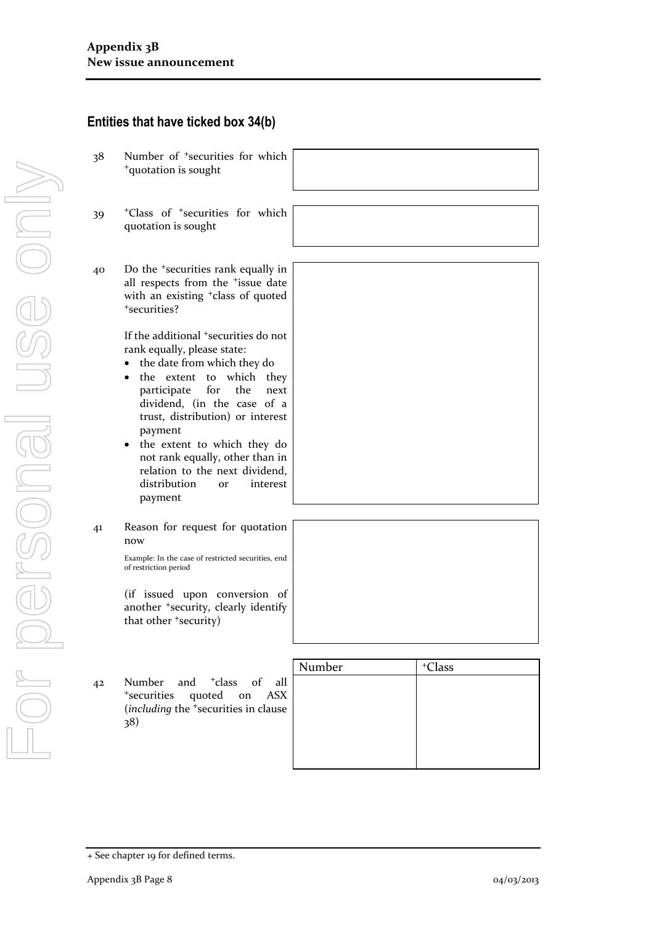|    | Entities that have ticked box 34(b)                                                                                                                                                                                                                                                                                                                                                                                                        |        |           |
|----|--------------------------------------------------------------------------------------------------------------------------------------------------------------------------------------------------------------------------------------------------------------------------------------------------------------------------------------------------------------------------------------------------------------------------------------------|--------|-----------|
| 38 | Number of <sup>+</sup> securities for which<br><sup>+</sup> quotation is sought                                                                                                                                                                                                                                                                                                                                                            |        |           |
| 39 | <sup>+</sup> Class of <sup>+</sup> securities for which<br>quotation is sought                                                                                                                                                                                                                                                                                                                                                             |        |           |
| 40 | Do the <sup>+</sup> securities rank equally in<br>all respects from the <i>fissue</i> date<br>with an existing <sup>+</sup> class of quoted<br>*securities?                                                                                                                                                                                                                                                                                |        |           |
|    | If the additional <sup>+</sup> securities do not<br>rank equally, please state:<br>the date from which they do<br>to<br>which they<br>the extent<br>$\bullet$<br>participate<br>for<br>the<br>next<br>dividend, (in the case of a<br>trust, distribution) or interest<br>payment<br>• the extent to which they do<br>not rank equally, other than in<br>relation to the next dividend,<br>distribution<br>interest<br><b>or</b><br>payment |        |           |
| 41 | Reason for request for quotation<br>now<br>Example: In the case of restricted securities, end<br>of restriction period<br>(if issued upon conversion of                                                                                                                                                                                                                                                                                    |        |           |
|    | another <sup>+</sup> security, clearly identify<br>that other 'security)                                                                                                                                                                                                                                                                                                                                                                   | Number | $+C$ lass |
| 42 | <sup>+</sup> class<br>$\sigma$ f<br>Number<br>and<br>all<br>quoted on<br><sup>+</sup> securities<br>ASX<br>(including the <sup>+</sup> securities in clause<br>38)                                                                                                                                                                                                                                                                         |        |           |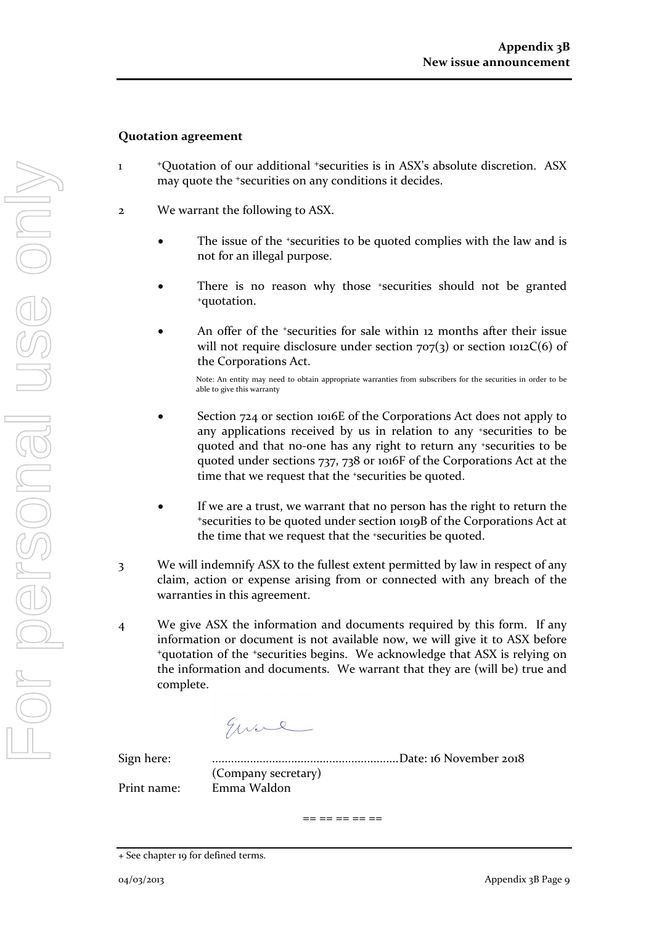#### **Quotation agreement**

- 1 <sup>+</sup>Quotation of our additional +securities is in ASX's absolute discretion. ASX may quote the +securities on any conditions it decides.
- 2 We warrant the following to ASX.
	- The issue of the +securities to be quoted complies with the law and is not for an illegal purpose.
	- There is no reason why those +securities should not be granted +quotation.
	- An offer of the *\*securities* for sale within 12 months after their issue will not require disclosure under section  $707(3)$  or section  $1012C(6)$  of the Corporations Act.

Note: An entity may need to obtain appropriate warranties from subscribers for the securities in order to be able to give this warranty

- Section 724 or section 1016E of the Corporations Act does not apply to any applications received by us in relation to any +securities to be quoted and that no-one has any right to return any +securities to be quoted under sections 737, 738 or 1016F of the Corporations Act at the time that we request that the <sup>+</sup>securities be quoted.
- If we are a trust, we warrant that no person has the right to return the <sup>+</sup>securities to be quoted under section 1019B of the Corporations Act at the time that we request that the +securities be quoted.
- 3 We will indemnify ASX to the fullest extent permitted by law in respect of any claim, action or expense arising from or connected with any breach of the warranties in this agreement.
- 4 We give ASX the information and documents required by this form. If any information or document is not available now, we will give it to ASX before <sup>+</sup>quotation of the +securities begins. We acknowledge that ASX is relying on the information and documents. We warrant that they are (will be) true and complete.

Eure

Sign here: ...........................................................Date: 16 November 2018 (Company secretary) Print name: Emma Waldon

== == == == ==

<sup>+</sup> See chapter 19 for defined terms.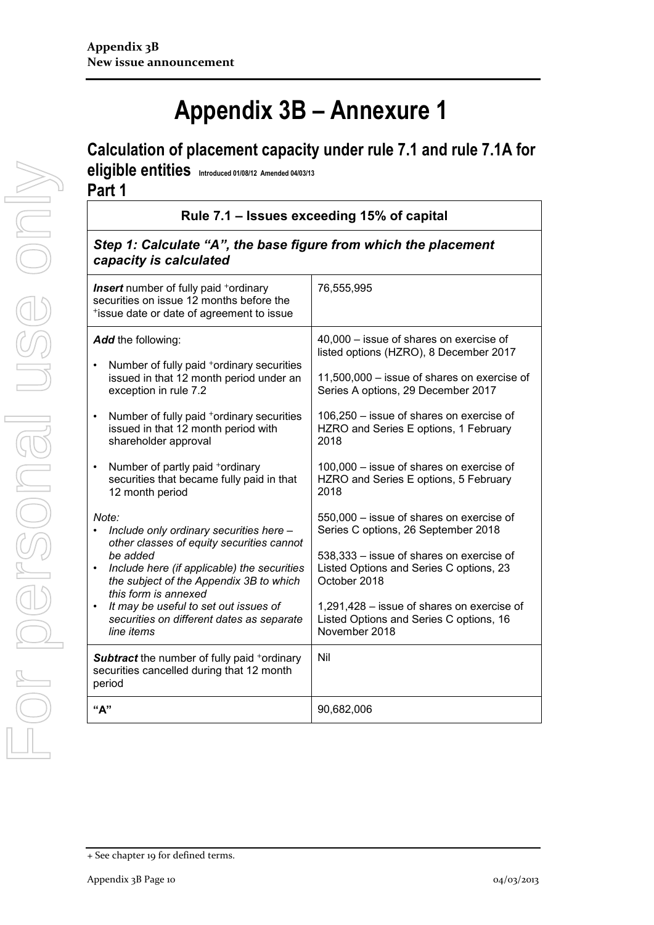# **Appendix 3B – Annexure 1**

## **Calculation of placement capacity under rule 7.1 and rule 7.1A for**

**eligible entities Introduced 01/08/12 Amended 04/03/13 Part 1**

**Rule 7.1 – Issues exceeding 15% of capital**

### *Step 1: Calculate "A", the base figure from which the placement capacity is calculated*

| <b>Insert</b> number of fully paid <sup>+</sup> ordinary<br>securities on issue 12 months before the<br>*issue date or date of agreement to issue                                                                                                                                                                        | 76,555,995                                                                                                                                                                                                                                                                                                      |
|--------------------------------------------------------------------------------------------------------------------------------------------------------------------------------------------------------------------------------------------------------------------------------------------------------------------------|-----------------------------------------------------------------------------------------------------------------------------------------------------------------------------------------------------------------------------------------------------------------------------------------------------------------|
| Add the following:<br>Number of fully paid <sup>+</sup> ordinary securities<br>issued in that 12 month period under an<br>exception in rule 7.2<br>Number of fully paid +ordinary securities<br>$\bullet$<br>issued in that 12 month period with<br>shareholder approval<br>Number of partly paid +ordinary<br>$\bullet$ | 40,000 - issue of shares on exercise of<br>listed options (HZRO), 8 December 2017<br>11,500,000 - issue of shares on exercise of<br>Series A options, 29 December 2017<br>106,250 - issue of shares on exercise of<br>HZRO and Series E options, 1 February<br>2018<br>100,000 - issue of shares on exercise of |
| securities that became fully paid in that<br>12 month period<br>Note:                                                                                                                                                                                                                                                    | HZRO and Series E options, 5 February<br>2018<br>550,000 - issue of shares on exercise of                                                                                                                                                                                                                       |
| Include only ordinary securities here -<br>other classes of equity securities cannot<br>be added<br>Include here (if applicable) the securities<br>$\bullet$<br>the subject of the Appendix 3B to which<br>this form is annexed                                                                                          | Series C options, 26 September 2018<br>538,333 - issue of shares on exercise of<br>Listed Options and Series C options, 23<br>October 2018                                                                                                                                                                      |
| It may be useful to set out issues of<br>$\bullet$<br>securities on different dates as separate<br>line items                                                                                                                                                                                                            | 1,291,428 - issue of shares on exercise of<br>Listed Options and Series C options, 16<br>November 2018                                                                                                                                                                                                          |
| <b>Subtract</b> the number of fully paid +ordinary<br>securities cancelled during that 12 month<br>period                                                                                                                                                                                                                | Nil                                                                                                                                                                                                                                                                                                             |
| "А"                                                                                                                                                                                                                                                                                                                      | 90,682,006                                                                                                                                                                                                                                                                                                      |

<sup>+</sup> See chapter 19 for defined terms.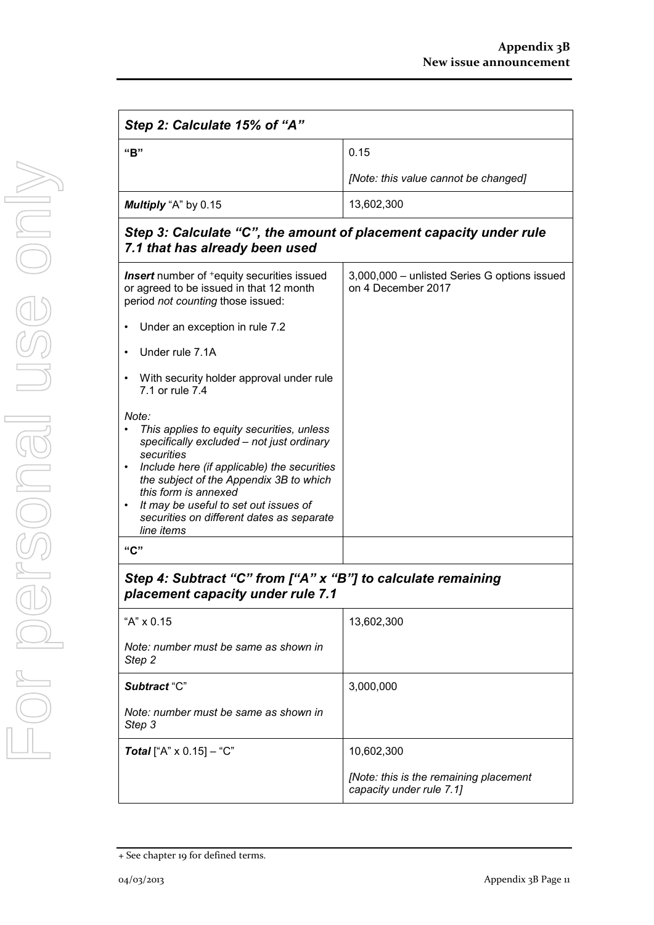| Step 2: Calculate 15% of "A"                                                                                                                                                                                                                                                                                                        |                                                                    |  |
|-------------------------------------------------------------------------------------------------------------------------------------------------------------------------------------------------------------------------------------------------------------------------------------------------------------------------------------|--------------------------------------------------------------------|--|
| "B"                                                                                                                                                                                                                                                                                                                                 | 0.15                                                               |  |
|                                                                                                                                                                                                                                                                                                                                     | [Note: this value cannot be changed]                               |  |
| Multiply "A" by 0.15                                                                                                                                                                                                                                                                                                                | 13,602,300                                                         |  |
| Step 3: Calculate "C", the amount of placement capacity under rule<br>7.1 that has already been used                                                                                                                                                                                                                                |                                                                    |  |
| <b>Insert</b> number of <sup>+</sup> equity securities issued<br>or agreed to be issued in that 12 month<br>period not counting those issued:                                                                                                                                                                                       | 3,000,000 - unlisted Series G options issued<br>on 4 December 2017 |  |
| Under an exception in rule 7.2                                                                                                                                                                                                                                                                                                      |                                                                    |  |
| Under rule 7.1A                                                                                                                                                                                                                                                                                                                     |                                                                    |  |
| With security holder approval under rule<br>7.1 or rule 7.4                                                                                                                                                                                                                                                                         |                                                                    |  |
| Note:<br>This applies to equity securities, unless<br>specifically excluded - not just ordinary<br>securities<br>Include here (if applicable) the securities<br>the subject of the Appendix 3B to which<br>this form is annexed<br>It may be useful to set out issues of<br>securities on different dates as separate<br>line items |                                                                    |  |
| "C"                                                                                                                                                                                                                                                                                                                                 |                                                                    |  |
| Step 4: Subtract "C" from ["A" x "B"] to calculate remaining<br>placement capacity under rule 7.1                                                                                                                                                                                                                                   |                                                                    |  |
| "A" x 0.15                                                                                                                                                                                                                                                                                                                          | 13,602,300                                                         |  |
| Note: number must be same as shown in<br>Step 2                                                                                                                                                                                                                                                                                     |                                                                    |  |
| Subtract "C"                                                                                                                                                                                                                                                                                                                        | 3,000,000                                                          |  |
| Note: number must be same as shown in<br>Step 3                                                                                                                                                                                                                                                                                     |                                                                    |  |
| <b>Total</b> ["A" $\times$ 0.15] – "C"                                                                                                                                                                                                                                                                                              | 10,602,300                                                         |  |

<sup>+</sup> See chapter 19 for defined terms.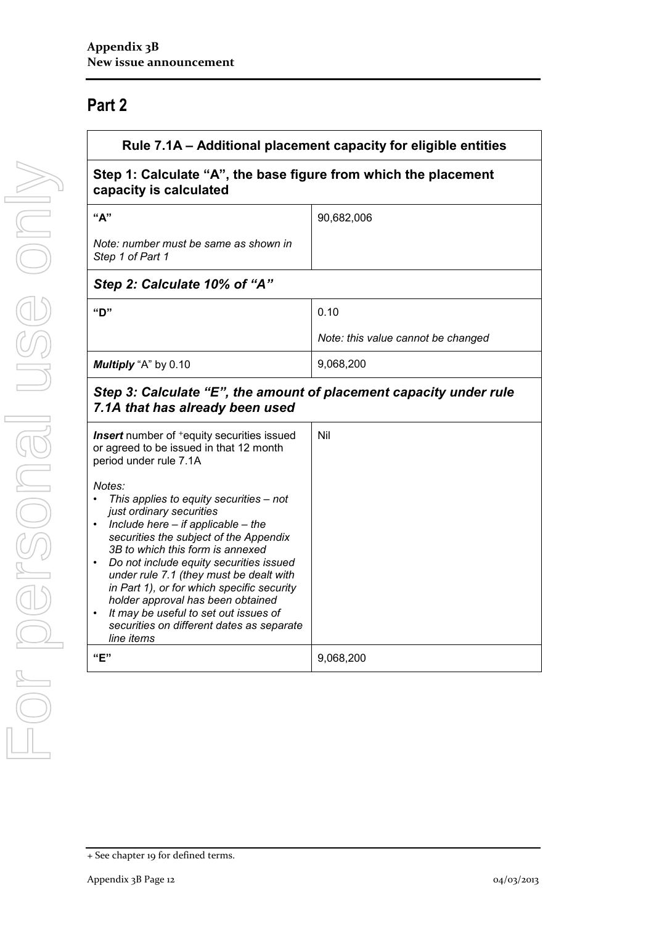## **Part 2**

| Rule 7.1A - Additional placement capacity for eligible entities<br>Step 1: Calculate "A", the base figure from which the placement<br>capacity is calculated                                                                                                                                                                                                                                                                                                                       |                                    |
|------------------------------------------------------------------------------------------------------------------------------------------------------------------------------------------------------------------------------------------------------------------------------------------------------------------------------------------------------------------------------------------------------------------------------------------------------------------------------------|------------------------------------|
|                                                                                                                                                                                                                                                                                                                                                                                                                                                                                    |                                    |
| Note: number must be same as shown in<br>Step 1 of Part 1                                                                                                                                                                                                                                                                                                                                                                                                                          |                                    |
| Step 2: Calculate 10% of "A"                                                                                                                                                                                                                                                                                                                                                                                                                                                       |                                    |
| "ח"                                                                                                                                                                                                                                                                                                                                                                                                                                                                                | 0.10                               |
|                                                                                                                                                                                                                                                                                                                                                                                                                                                                                    | Note: this value cannot be changed |
| Multiply "A" by 0.10                                                                                                                                                                                                                                                                                                                                                                                                                                                               | 9,068,200                          |
| Step 3: Calculate "E", the amount of placement capacity under rule<br>7.1A that has already been used                                                                                                                                                                                                                                                                                                                                                                              |                                    |
| <b>Insert</b> number of <sup>+</sup> equity securities issued<br>or agreed to be issued in that 12 month<br>period under rule 7.1A                                                                                                                                                                                                                                                                                                                                                 | Nil                                |
| Notes:<br>This applies to equity securities - not<br>just ordinary securities<br>Include here $-$ if applicable $-$ the<br>securities the subject of the Appendix<br>3B to which this form is annexed<br>Do not include equity securities issued<br>under rule 7.1 (they must be dealt with<br>in Part 1), or for which specific security<br>holder approval has been obtained<br>It may be useful to set out issues of<br>securities on different dates as separate<br>line items |                                    |
| "E"                                                                                                                                                                                                                                                                                                                                                                                                                                                                                | 9,068,200                          |

<sup>+</sup> See chapter 19 for defined terms.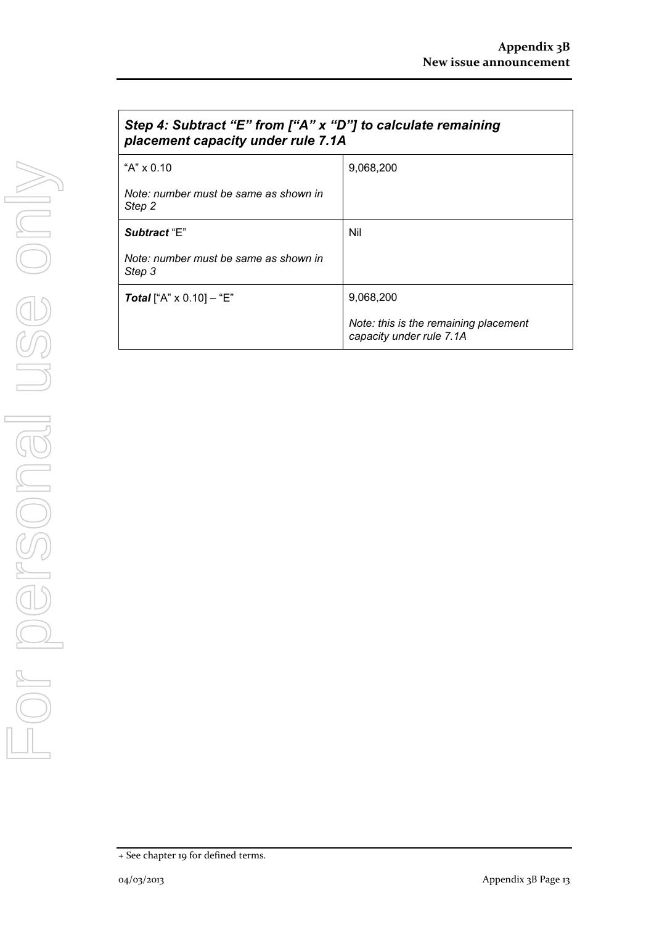| Step 4: Subtract "E" from ["A" x "D"] to calculate remaining<br>placement capacity under rule 7.1A |                                                                   |
|----------------------------------------------------------------------------------------------------|-------------------------------------------------------------------|
| "A" $\times$ 0.10                                                                                  | 9,068,200                                                         |
| Note: number must be same as shown in<br>Step 2                                                    |                                                                   |
| Subtract "E"                                                                                       | Nil                                                               |
| Note: number must be same as shown in<br>Step 3                                                    |                                                                   |
| <b>Total</b> ["A" $\times$ 0.10] – "E"                                                             | 9,068,200                                                         |
|                                                                                                    | Note: this is the remaining placement<br>capacity under rule 7.1A |

<sup>+</sup> See chapter 19 for defined terms.